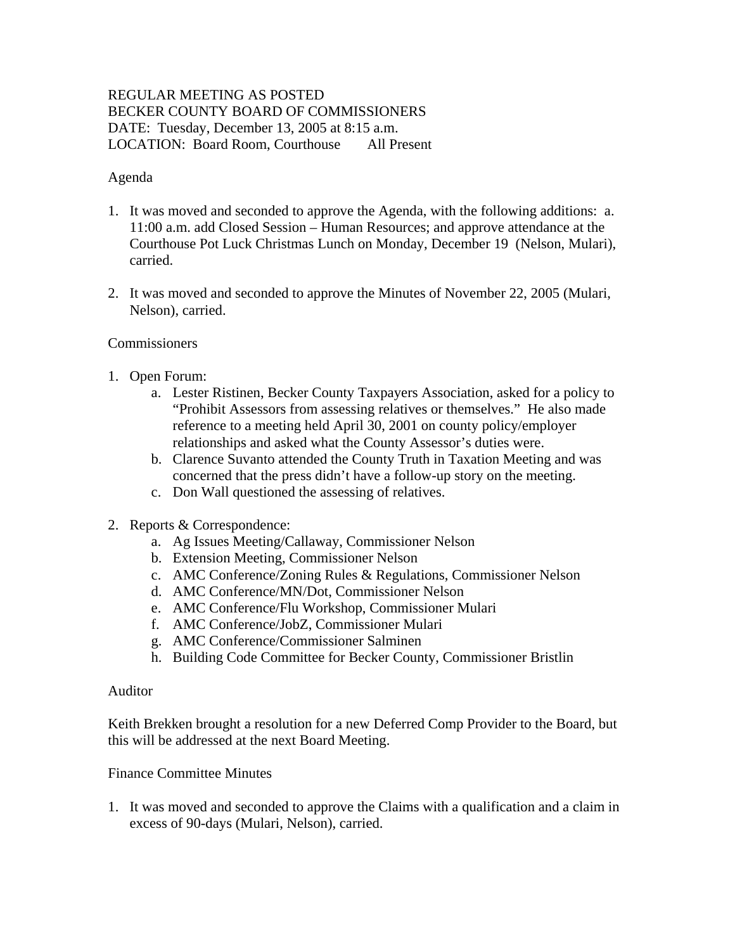# REGULAR MEETING AS POSTED BECKER COUNTY BOARD OF COMMISSIONERS DATE: Tuesday, December 13, 2005 at 8:15 a.m. LOCATION: Board Room, Courthouse All Present

## Agenda

- 1. It was moved and seconded to approve the Agenda, with the following additions: a. 11:00 a.m. add Closed Session – Human Resources; and approve attendance at the Courthouse Pot Luck Christmas Lunch on Monday, December 19 (Nelson, Mulari), carried.
- 2. It was moved and seconded to approve the Minutes of November 22, 2005 (Mulari, Nelson), carried.

## **Commissioners**

- 1. Open Forum:
	- a. Lester Ristinen, Becker County Taxpayers Association, asked for a policy to "Prohibit Assessors from assessing relatives or themselves." He also made reference to a meeting held April 30, 2001 on county policy/employer relationships and asked what the County Assessor's duties were.
	- b. Clarence Suvanto attended the County Truth in Taxation Meeting and was concerned that the press didn't have a follow-up story on the meeting.
	- c. Don Wall questioned the assessing of relatives.
- 2. Reports & Correspondence:
	- a. Ag Issues Meeting/Callaway, Commissioner Nelson
	- b. Extension Meeting, Commissioner Nelson
	- c. AMC Conference/Zoning Rules & Regulations, Commissioner Nelson
	- d. AMC Conference/MN/Dot, Commissioner Nelson
	- e. AMC Conference/Flu Workshop, Commissioner Mulari
	- f. AMC Conference/JobZ, Commissioner Mulari
	- g. AMC Conference/Commissioner Salminen
	- h. Building Code Committee for Becker County, Commissioner Bristlin

### Auditor

Keith Brekken brought a resolution for a new Deferred Comp Provider to the Board, but this will be addressed at the next Board Meeting.

### Finance Committee Minutes

1. It was moved and seconded to approve the Claims with a qualification and a claim in excess of 90-days (Mulari, Nelson), carried.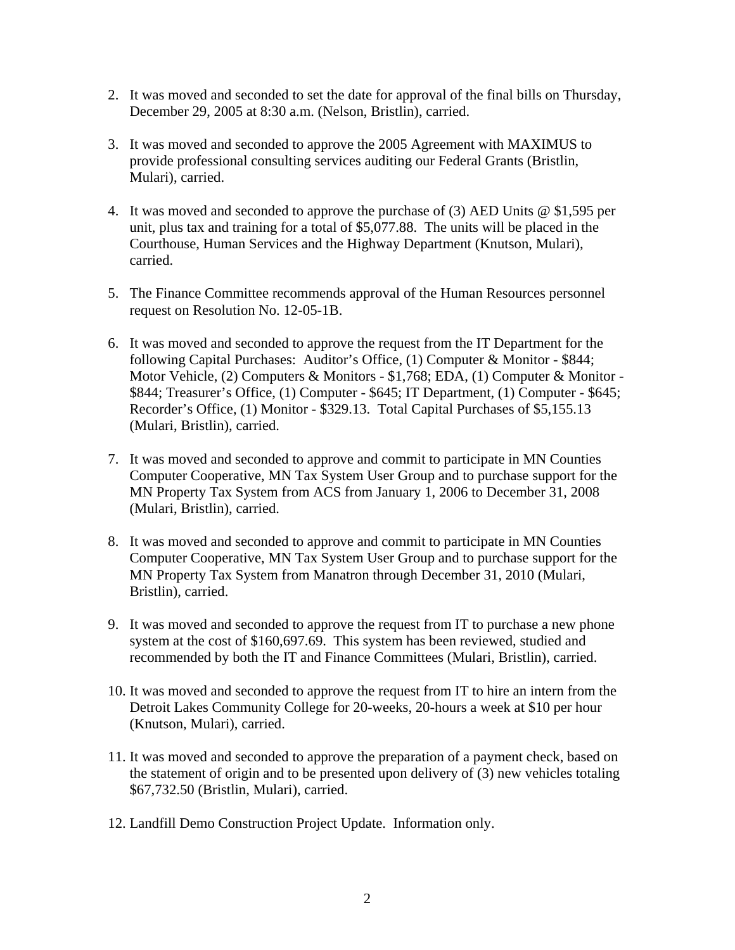- 2. It was moved and seconded to set the date for approval of the final bills on Thursday, December 29, 2005 at 8:30 a.m. (Nelson, Bristlin), carried.
- 3. It was moved and seconded to approve the 2005 Agreement with MAXIMUS to provide professional consulting services auditing our Federal Grants (Bristlin, Mulari), carried.
- 4. It was moved and seconded to approve the purchase of (3) AED Units @ \$1,595 per unit, plus tax and training for a total of \$5,077.88. The units will be placed in the Courthouse, Human Services and the Highway Department (Knutson, Mulari), carried.
- 5. The Finance Committee recommends approval of the Human Resources personnel request on Resolution No. 12-05-1B.
- 6. It was moved and seconded to approve the request from the IT Department for the following Capital Purchases: Auditor's Office, (1) Computer & Monitor - \$844; Motor Vehicle, (2) Computers & Monitors - \$1,768; EDA, (1) Computer & Monitor - \$844; Treasurer's Office, (1) Computer - \$645; IT Department, (1) Computer - \$645; Recorder's Office, (1) Monitor - \$329.13. Total Capital Purchases of \$5,155.13 (Mulari, Bristlin), carried.
- 7. It was moved and seconded to approve and commit to participate in MN Counties Computer Cooperative, MN Tax System User Group and to purchase support for the MN Property Tax System from ACS from January 1, 2006 to December 31, 2008 (Mulari, Bristlin), carried.
- 8. It was moved and seconded to approve and commit to participate in MN Counties Computer Cooperative, MN Tax System User Group and to purchase support for the MN Property Tax System from Manatron through December 31, 2010 (Mulari, Bristlin), carried.
- 9. It was moved and seconded to approve the request from IT to purchase a new phone system at the cost of \$160,697.69. This system has been reviewed, studied and recommended by both the IT and Finance Committees (Mulari, Bristlin), carried.
- 10. It was moved and seconded to approve the request from IT to hire an intern from the Detroit Lakes Community College for 20-weeks, 20-hours a week at \$10 per hour (Knutson, Mulari), carried.
- 11. It was moved and seconded to approve the preparation of a payment check, based on the statement of origin and to be presented upon delivery of (3) new vehicles totaling \$67,732.50 (Bristlin, Mulari), carried.
- 12. Landfill Demo Construction Project Update. Information only.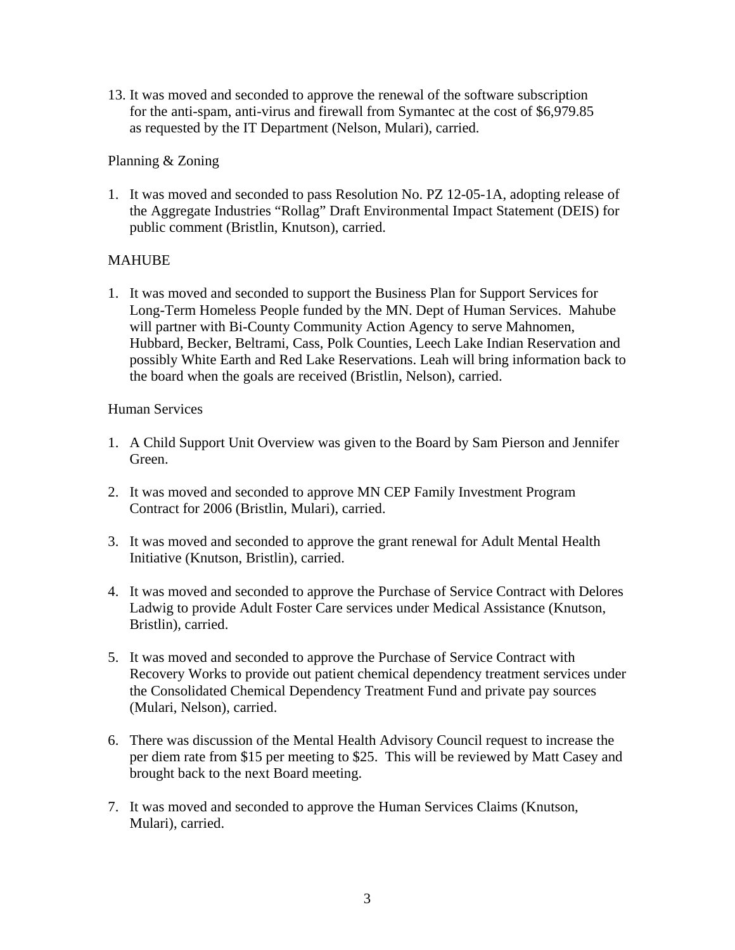13. It was moved and seconded to approve the renewal of the software subscription for the anti-spam, anti-virus and firewall from Symantec at the cost of \$6,979.85 as requested by the IT Department (Nelson, Mulari), carried.

## Planning & Zoning

1. It was moved and seconded to pass Resolution No. PZ 12-05-1A, adopting release of the Aggregate Industries "Rollag" Draft Environmental Impact Statement (DEIS) for public comment (Bristlin, Knutson), carried.

## MAHUBE

1. It was moved and seconded to support the Business Plan for Support Services for Long-Term Homeless People funded by the MN. Dept of Human Services. Mahube will partner with Bi-County Community Action Agency to serve Mahnomen, Hubbard, Becker, Beltrami, Cass, Polk Counties, Leech Lake Indian Reservation and possibly White Earth and Red Lake Reservations. Leah will bring information back to the board when the goals are received (Bristlin, Nelson), carried.

## Human Services

- 1. A Child Support Unit Overview was given to the Board by Sam Pierson and Jennifer Green.
- 2. It was moved and seconded to approve MN CEP Family Investment Program Contract for 2006 (Bristlin, Mulari), carried.
- 3. It was moved and seconded to approve the grant renewal for Adult Mental Health Initiative (Knutson, Bristlin), carried.
- 4. It was moved and seconded to approve the Purchase of Service Contract with Delores Ladwig to provide Adult Foster Care services under Medical Assistance (Knutson, Bristlin), carried.
- 5. It was moved and seconded to approve the Purchase of Service Contract with Recovery Works to provide out patient chemical dependency treatment services under the Consolidated Chemical Dependency Treatment Fund and private pay sources (Mulari, Nelson), carried.
- 6. There was discussion of the Mental Health Advisory Council request to increase the per diem rate from \$15 per meeting to \$25. This will be reviewed by Matt Casey and brought back to the next Board meeting.
- 7. It was moved and seconded to approve the Human Services Claims (Knutson, Mulari), carried.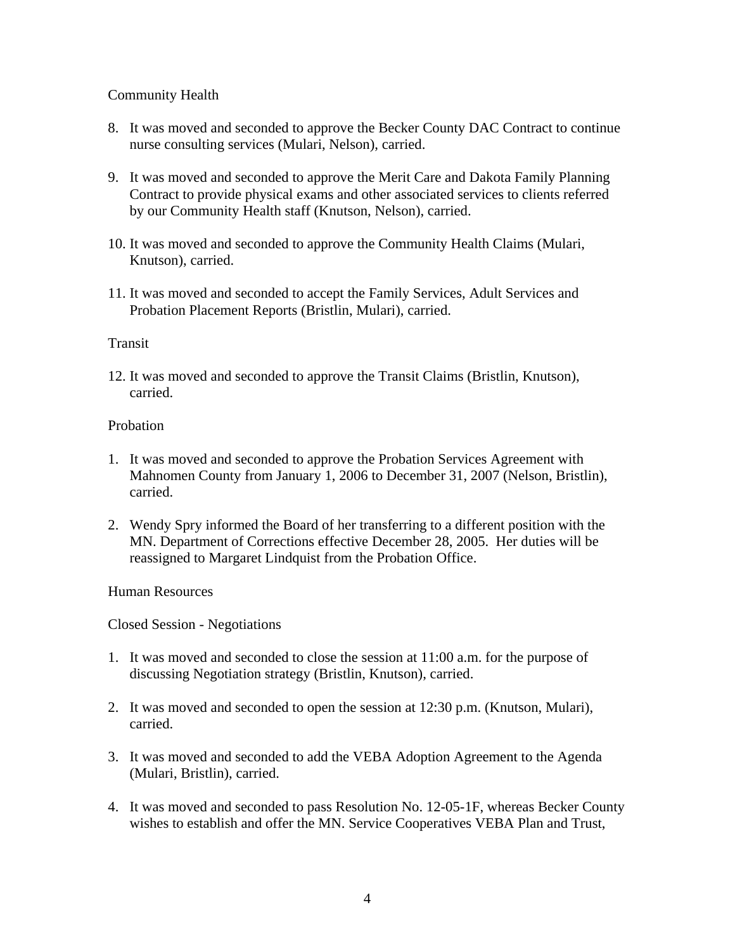## Community Health

- 8. It was moved and seconded to approve the Becker County DAC Contract to continue nurse consulting services (Mulari, Nelson), carried.
- 9. It was moved and seconded to approve the Merit Care and Dakota Family Planning Contract to provide physical exams and other associated services to clients referred by our Community Health staff (Knutson, Nelson), carried.
- 10. It was moved and seconded to approve the Community Health Claims (Mulari, Knutson), carried.
- 11. It was moved and seconded to accept the Family Services, Adult Services and Probation Placement Reports (Bristlin, Mulari), carried.

## Transit

12. It was moved and seconded to approve the Transit Claims (Bristlin, Knutson), carried.

## Probation

- 1. It was moved and seconded to approve the Probation Services Agreement with Mahnomen County from January 1, 2006 to December 31, 2007 (Nelson, Bristlin), carried.
- 2. Wendy Spry informed the Board of her transferring to a different position with the MN. Department of Corrections effective December 28, 2005. Her duties will be reassigned to Margaret Lindquist from the Probation Office.

## Human Resources

Closed Session - Negotiations

- 1. It was moved and seconded to close the session at 11:00 a.m. for the purpose of discussing Negotiation strategy (Bristlin, Knutson), carried.
- 2. It was moved and seconded to open the session at 12:30 p.m. (Knutson, Mulari), carried.
- 3. It was moved and seconded to add the VEBA Adoption Agreement to the Agenda (Mulari, Bristlin), carried.
- 4. It was moved and seconded to pass Resolution No. 12-05-1F, whereas Becker County wishes to establish and offer the MN. Service Cooperatives VEBA Plan and Trust,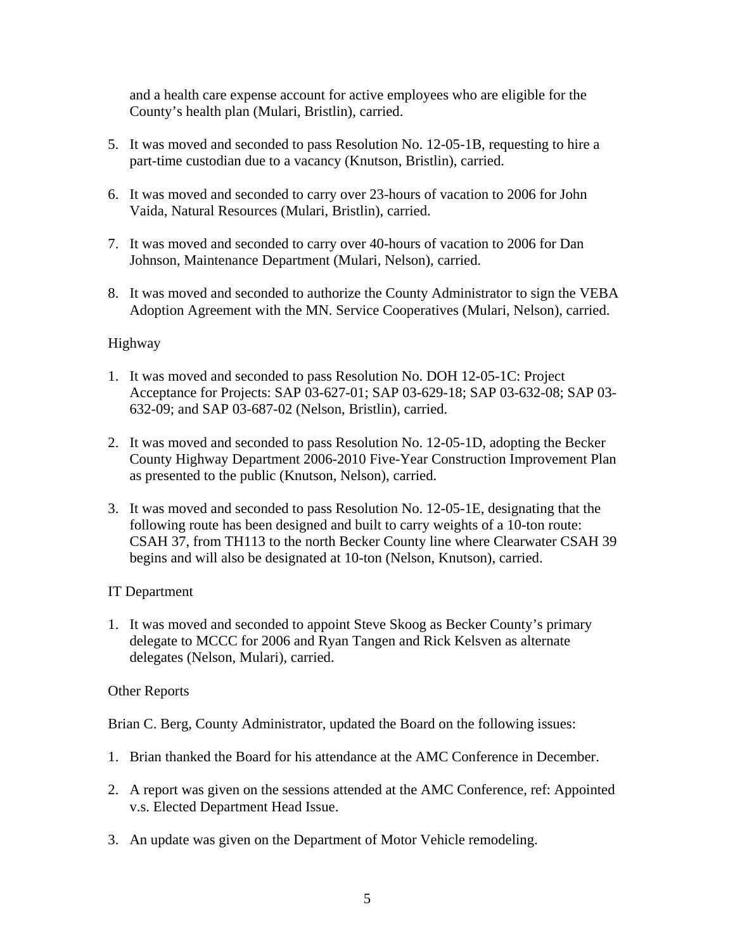and a health care expense account for active employees who are eligible for the County's health plan (Mulari, Bristlin), carried.

- 5. It was moved and seconded to pass Resolution No. 12-05-1B, requesting to hire a part-time custodian due to a vacancy (Knutson, Bristlin), carried.
- 6. It was moved and seconded to carry over 23-hours of vacation to 2006 for John Vaida, Natural Resources (Mulari, Bristlin), carried.
- 7. It was moved and seconded to carry over 40-hours of vacation to 2006 for Dan Johnson, Maintenance Department (Mulari, Nelson), carried.
- 8. It was moved and seconded to authorize the County Administrator to sign the VEBA Adoption Agreement with the MN. Service Cooperatives (Mulari, Nelson), carried.

## Highway

- 1. It was moved and seconded to pass Resolution No. DOH 12-05-1C: Project Acceptance for Projects: SAP 03-627-01; SAP 03-629-18; SAP 03-632-08; SAP 03- 632-09; and SAP 03-687-02 (Nelson, Bristlin), carried.
- 2. It was moved and seconded to pass Resolution No. 12-05-1D, adopting the Becker County Highway Department 2006-2010 Five-Year Construction Improvement Plan as presented to the public (Knutson, Nelson), carried.
- 3. It was moved and seconded to pass Resolution No. 12-05-1E, designating that the following route has been designed and built to carry weights of a 10-ton route: CSAH 37, from TH113 to the north Becker County line where Clearwater CSAH 39 begins and will also be designated at 10-ton (Nelson, Knutson), carried.

### IT Department

1. It was moved and seconded to appoint Steve Skoog as Becker County's primary delegate to MCCC for 2006 and Ryan Tangen and Rick Kelsven as alternate delegates (Nelson, Mulari), carried.

### Other Reports

Brian C. Berg, County Administrator, updated the Board on the following issues:

- 1. Brian thanked the Board for his attendance at the AMC Conference in December.
- 2. A report was given on the sessions attended at the AMC Conference, ref: Appointed v.s. Elected Department Head Issue.
- 3. An update was given on the Department of Motor Vehicle remodeling.